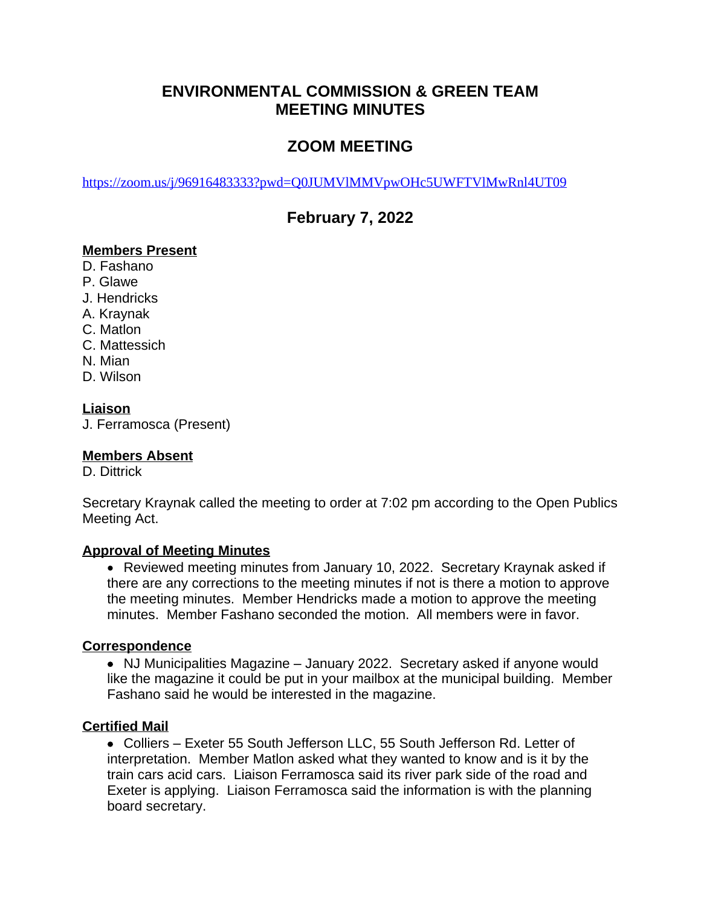## **ENVIRONMENTAL COMMISSION & GREEN TEAM MEETING MINUTES**

# **ZOOM MEETING**

<https://zoom.us/j/96916483333?pwd=Q0JUMVlMMVpwOHc5UWFTVlMwRnl4UT09>

## **February 7, 2022**

#### **Members Present**

- D. Fashano
- P. Glawe
- J. Hendricks
- A. Kraynak
- C. Matlon
- C. Mattessich
- N. Mian
- D. Wilson

### **Liaison**

J. Ferramosca (Present)

#### **Members Absent**

D. Dittrick

Secretary Kraynak called the meeting to order at 7:02 pm according to the Open Publics Meeting Act.

#### **Approval of Meeting Minutes**

 Reviewed meeting minutes from January 10, 2022. Secretary Kraynak asked if there are any corrections to the meeting minutes if not is there a motion to approve the meeting minutes. Member Hendricks made a motion to approve the meeting minutes. Member Fashano seconded the motion. All members were in favor.

#### **Correspondence**

• NJ Municipalities Magazine – January 2022. Secretary asked if anyone would like the magazine it could be put in your mailbox at the municipal building. Member Fashano said he would be interested in the magazine.

#### **Certified Mail**

 Colliers – Exeter 55 South Jefferson LLC, 55 South Jefferson Rd. Letter of interpretation. Member Matlon asked what they wanted to know and is it by the train cars acid cars. Liaison Ferramosca said its river park side of the road and Exeter is applying. Liaison Ferramosca said the information is with the planning board secretary.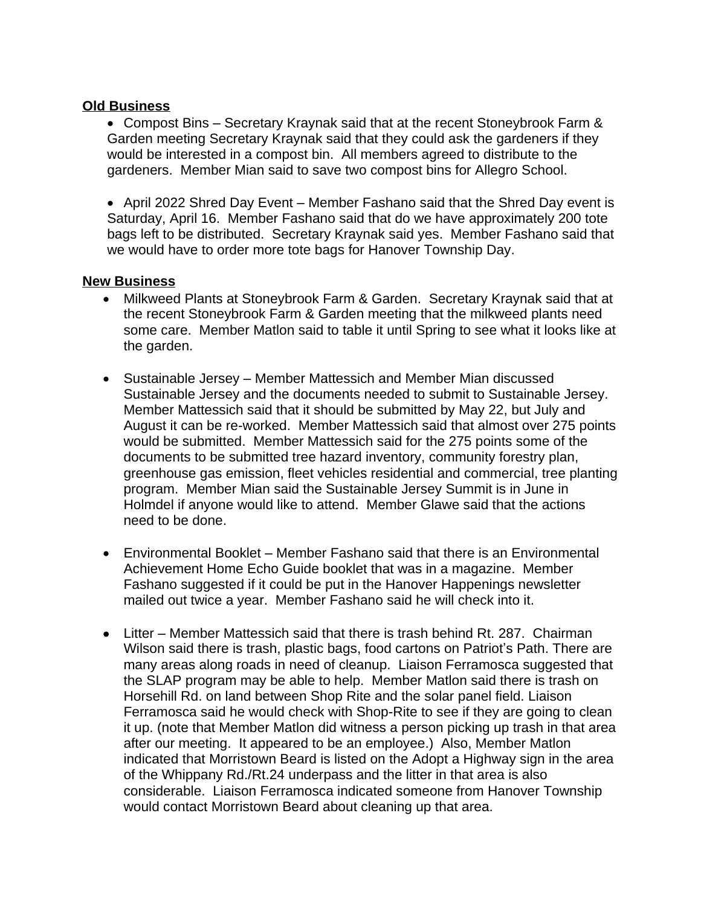#### **Old Business**

 Compost Bins – Secretary Kraynak said that at the recent Stoneybrook Farm & Garden meeting Secretary Kraynak said that they could ask the gardeners if they would be interested in a compost bin. All members agreed to distribute to the gardeners. Member Mian said to save two compost bins for Allegro School.

• April 2022 Shred Day Event – Member Fashano said that the Shred Day event is Saturday, April 16. Member Fashano said that do we have approximately 200 tote bags left to be distributed. Secretary Kraynak said yes. Member Fashano said that we would have to order more tote bags for Hanover Township Day.

#### **New Business**

- Milkweed Plants at Stoneybrook Farm & Garden. Secretary Kraynak said that at the recent Stoneybrook Farm & Garden meeting that the milkweed plants need some care. Member Matlon said to table it until Spring to see what it looks like at the garden.
- Sustainable Jersey Member Mattessich and Member Mian discussed Sustainable Jersey and the documents needed to submit to Sustainable Jersey. Member Mattessich said that it should be submitted by May 22, but July and August it can be re-worked. Member Mattessich said that almost over 275 points would be submitted. Member Mattessich said for the 275 points some of the documents to be submitted tree hazard inventory, community forestry plan, greenhouse gas emission, fleet vehicles residential and commercial, tree planting program. Member Mian said the Sustainable Jersey Summit is in June in Holmdel if anyone would like to attend. Member Glawe said that the actions need to be done.
- Environmental Booklet Member Fashano said that there is an Environmental Achievement Home Echo Guide booklet that was in a magazine. Member Fashano suggested if it could be put in the Hanover Happenings newsletter mailed out twice a year. Member Fashano said he will check into it.
- Litter Member Mattessich said that there is trash behind Rt. 287. Chairman Wilson said there is trash, plastic bags, food cartons on Patriot's Path. There are many areas along roads in need of cleanup. Liaison Ferramosca suggested that the SLAP program may be able to help. Member Matlon said there is trash on Horsehill Rd. on land between Shop Rite and the solar panel field. Liaison Ferramosca said he would check with Shop-Rite to see if they are going to clean it up. (note that Member Matlon did witness a person picking up trash in that area after our meeting. It appeared to be an employee.) Also, Member Matlon indicated that Morristown Beard is listed on the Adopt a Highway sign in the area of the Whippany Rd./Rt.24 underpass and the litter in that area is also considerable. Liaison Ferramosca indicated someone from Hanover Township would contact Morristown Beard about cleaning up that area.